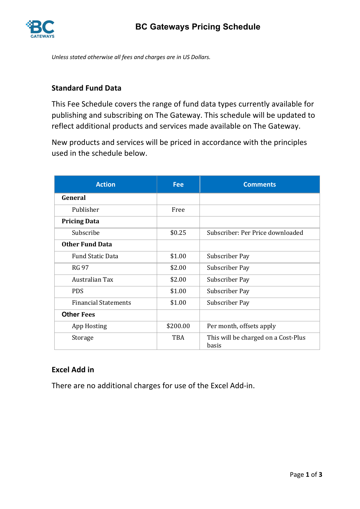

*Unless stated otherwise all fees and charges are in US Dollars.*

# **Standard Fund Data**

This Fee Schedule covers the range of fund data types currently available for publishing and subscribing on The Gateway. This schedule will be updated to reflect additional products and services made available on The Gateway.

New products and services will be priced in accordance with the principles used in the schedule below.

| <b>Action</b>               | <b>Fee</b> | <b>Comments</b>                              |
|-----------------------------|------------|----------------------------------------------|
| General                     |            |                                              |
| Publisher                   | Free       |                                              |
| <b>Pricing Data</b>         |            |                                              |
| Subscribe                   | \$0.25     | Subscriber: Per Price downloaded             |
| <b>Other Fund Data</b>      |            |                                              |
| <b>Fund Static Data</b>     | \$1.00     | Subscriber Pay                               |
| <b>RG 97</b>                | \$2.00     | Subscriber Pay                               |
| Australian Tax              | \$2.00     | Subscriber Pay                               |
| <b>PDS</b>                  | \$1.00     | Subscriber Pay                               |
| <b>Financial Statements</b> | \$1.00     | Subscriber Pay                               |
| <b>Other Fees</b>           |            |                                              |
| App Hosting                 | \$200.00   | Per month, offsets apply                     |
| Storage                     | <b>TBA</b> | This will be charged on a Cost-Plus<br>basis |

### **Excel Add in**

There are no additional charges for use of the Excel Add-in.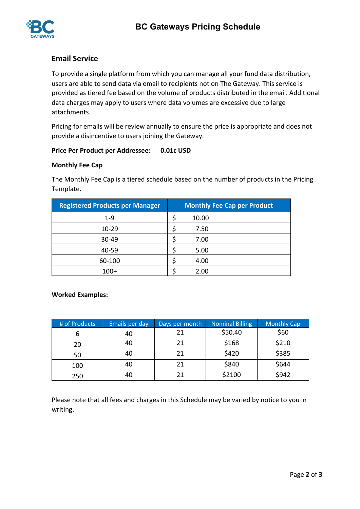

### **Email Service**

To provide a single platform from which you can manage all your fund data distribution, users are able to send data via email to recipients not on The Gateway. This service is provided as tiered fee based on the volume of products distributed in the email. Additional data charges may apply to users where data volumes are excessive due to large attachments.

Pricing for emails will be review annually to ensure the price is appropriate and does not provide a disincentive to users joining the Gateway.

### **Price Per Product per Addressee: 0.01c USD**

### **Monthly Fee Cap**

The Monthly Fee Cap is a tiered schedule based on the number of products in the Pricing Template.

| <b>Registered Products per Manager</b> | <b>Monthly Fee Cap per Product</b> |
|----------------------------------------|------------------------------------|
| $1 - 9$                                | \$<br>10.00                        |
| $10 - 29$                              | \$<br>7.50                         |
| 30-49                                  | \$<br>7.00                         |
| 40-59                                  | \$<br>5.00                         |
| 60-100                                 | \$<br>4.00                         |
| $100+$                                 | 2.00                               |

**Worked Examples:**

| # of Products | Emails per day | Days per month | <b>Nominal Billing</b> | <b>Monthly Cap</b> |
|---------------|----------------|----------------|------------------------|--------------------|
|               | 40             |                | \$50.40                | \$60               |
| 20            | 40             |                | \$168                  | \$210              |
| 50            | 40             |                | \$420                  | \$385              |
| 100           | 40             |                | \$840                  | \$644              |
| 250           | 40             |                | \$2100                 | \$942              |

Please note that all fees and charges in this Schedule may be varied by notice to you in writing.